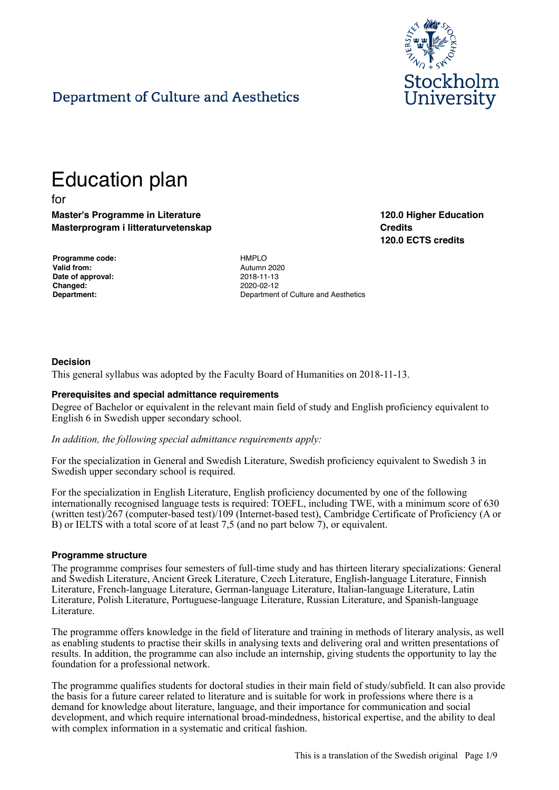

**120.0 Higher Education**

**120.0 ECTS credits**

**Credits**

# Department of Culture and Aesthetics

# Education plan

for

**Master's Programme in Literature Masterprogram i litteraturvetenskap**

| Programme code:    | <b>HMPLO</b> |
|--------------------|--------------|
| <b>Valid from:</b> | Autumn       |
| Date of approval:  | 2018-11      |
| <b>Changed:</b>    | 2020-02      |
| Denartment:        | Denartn      |

**Valid from:** Autumn 2020 **Date of approval:** 2018-11-13 **Changed:** 2020-02-12 **Department:** Department of Culture and Aesthetics

#### **Decision**

This general syllabus was adopted by the Faculty Board of Humanities on 2018-11-13.

#### **Prerequisites and special admittance requirements**

Degree of Bachelor or equivalent in the relevant main field of study and English proficiency equivalent to English 6 in Swedish upper secondary school.

#### *In addition, the following special admittance requirements apply:*

For the specialization in General and Swedish Literature, Swedish proficiency equivalent to Swedish 3 in Swedish upper secondary school is required.

For the specialization in English Literature, English proficiency documented by one of the following internationally recognised language tests is required: TOEFL, including TWE, with a minimum score of 630 (written test)/267 (computer-based test)/109 (Internet-based test), Cambridge Certificate of Proficiency (A or B) or IELTS with a total score of at least 7,5 (and no part below 7), or equivalent.

#### **Programme structure**

The programme comprises four semesters of full-time study and has thirteen literary specializations: General and Swedish Literature, Ancient Greek Literature, Czech Literature, English-language Literature, Finnish Literature, French-language Literature, German-language Literature, Italian-language Literature, Latin Literature, Polish Literature, Portuguese-language Literature, Russian Literature, and Spanish-language Literature.

The programme offers knowledge in the field of literature and training in methods of literary analysis, as well as enabling students to practise their skills in analysing texts and delivering oral and written presentations of results. In addition, the programme can also include an internship, giving students the opportunity to lay the foundation for a professional network.

The programme qualifies students for doctoral studies in their main field of study/subfield. It can also provide the basis for a future career related to literature and is suitable for work in professions where there is a demand for knowledge about literature, language, and their importance for communication and social development, and which require international broad-mindedness, historical expertise, and the ability to deal with complex information in a systematic and critical fashion.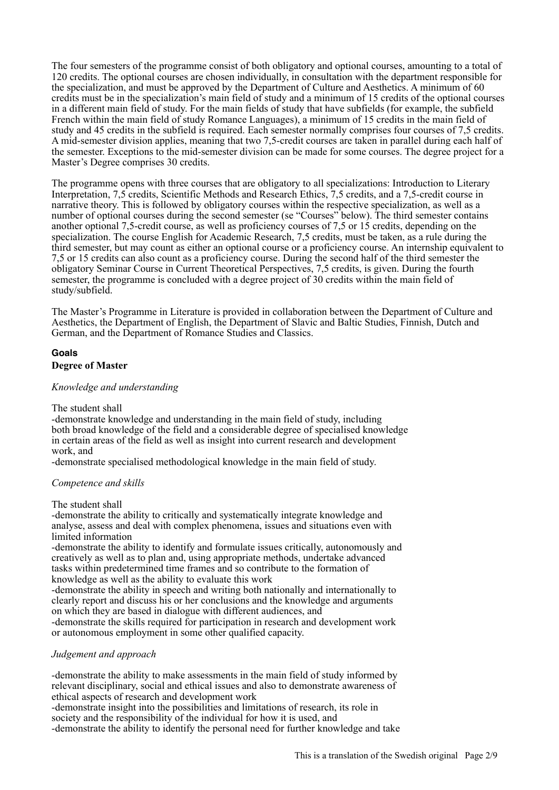The four semesters of the programme consist of both obligatory and optional courses, amounting to a total of 120 credits. The optional courses are chosen individually, in consultation with the department responsible for the specialization, and must be approved by the Department of Culture and Aesthetics. A minimum of 60 credits must be in the specialization's main field of study and a minimum of 15 credits of the optional courses in a different main field of study. For the main fields of study that have subfields (for example, the subfield French within the main field of study Romance Languages), a minimum of 15 credits in the main field of study and 45 credits in the subfield is required. Each semester normally comprises four courses of 7,5 credits. A mid-semester division applies, meaning that two 7,5-credit courses are taken in parallel during each half of the semester. Exceptions to the mid-semester division can be made for some courses. The degree project for a Master's Degree comprises 30 credits.

The programme opens with three courses that are obligatory to all specializations: Introduction to Literary Interpretation, 7,5 credits, Scientific Methods and Research Ethics, 7,5 credits, and a 7,5-credit course in narrative theory. This is followed by obligatory courses within the respective specialization, as well as a number of optional courses during the second semester (se "Courses" below). The third semester contains another optional 7,5-credit course, as well as proficiency courses of 7,5 or 15 credits, depending on the specialization. The course English for Academic Research, 7,5 credits, must be taken, as a rule during the third semester, but may count as either an optional course or a proficiency course. An internship equivalent to 7,5 or 15 credits can also count as a proficiency course. During the second half of the third semester the obligatory Seminar Course in Current Theoretical Perspectives, 7,5 credits, is given. During the fourth semester, the programme is concluded with a degree project of 30 credits within the main field of study/subfield.

The Master's Programme in Literature is provided in collaboration between the Department of Culture and Aesthetics, the Department of English, the Department of Slavic and Baltic Studies, Finnish, Dutch and German, and the Department of Romance Studies and Classics.

# **Goals**

# **Degree of Master**

#### *Knowledge and understanding*

#### The student shall

-demonstrate knowledge and understanding in the main field of study, including both broad knowledge of the field and a considerable degree of specialised knowledge in certain areas of the field as well as insight into current research and development work, and

-demonstrate specialised methodological knowledge in the main field of study.

# *Competence and skills*

The student shall

-demonstrate the ability to critically and systematically integrate knowledge and analyse, assess and deal with complex phenomena, issues and situations even with limited information

-demonstrate the ability to identify and formulate issues critically, autonomously and creatively as well as to plan and, using appropriate methods, undertake advanced tasks within predetermined time frames and so contribute to the formation of knowledge as well as the ability to evaluate this work

-demonstrate the ability in speech and writing both nationally and internationally to clearly report and discuss his or her conclusions and the knowledge and arguments on which they are based in dialogue with different audiences, and -demonstrate the skills required for participation in research and development work

or autonomous employment in some other qualified capacity.

# *Judgement and approach*

-demonstrate the ability to make assessments in the main field of study informed by relevant disciplinary, social and ethical issues and also to demonstrate awareness of ethical aspects of research and development work

-demonstrate insight into the possibilities and limitations of research, its role in society and the responsibility of the individual for how it is used, and -demonstrate the ability to identify the personal need for further knowledge and take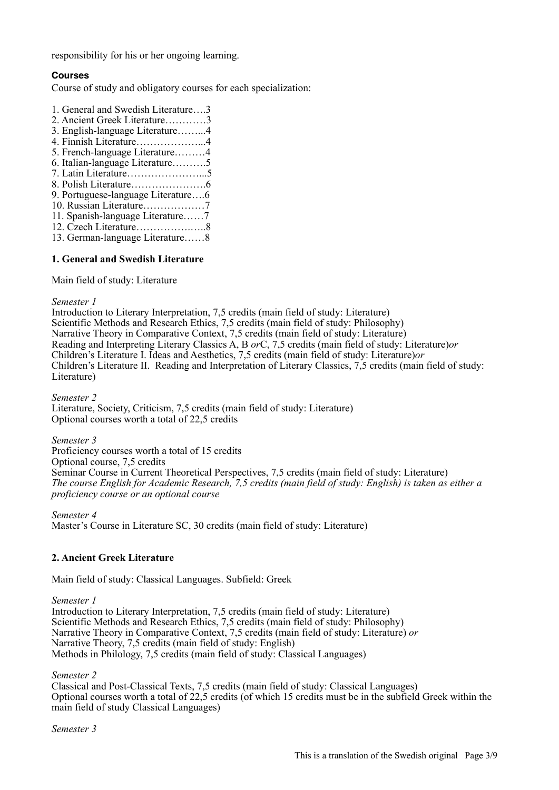responsibility for his or her ongoing learning.

# **Courses**

Course of study and obligatory courses for each specialization:

1. General and Swedish Literature….3 2. Ancient Greek Literature…………3 3. English-language Literature……...4 4. Finnish Literature………………...4 5. French-language Literature………4 6. Italian-language Literature……….5 7. Latin Literature…………………...5 8. Polish Literature………………….6 9. Portuguese-language Literature….6 10. Russian Literature………………7 11. Spanish-language Literature……7 12. Czech Literature…………….…..8 13. German-language Literature……8

# **1. General and Swedish Literature**

Main field of study: Literature

#### *Semester 1*

Introduction to Literary Interpretation, 7,5 credits (main field of study: Literature) Scientific Methods and Research Ethics, 7,5 credits (main field of study: Philosophy) Narrative Theory in Comparative Context, 7,5 credits (main field of study: Literature) Reading and Interpreting Literary Classics A, B *or*C, 7,5 credits (main field of study: Literature)*or* Children's Literature I. Ideas and Aesthetics, 7,5 credits (main field of study: Literature)*or* Children's Literature II. Reading and Interpretation of Literary Classics, 7,5 credits (main field of study: Literature)

*Semester 2*

Literature, Society, Criticism, 7,5 credits (main field of study: Literature) Optional courses worth a total of 22,5 credits

*Semester 3*

Proficiency courses worth a total of 15 credits Optional course, 7,5 credits Seminar Course in Current Theoretical Perspectives, 7,5 credits (main field of study: Literature) *The course English for Academic Research, 7,5 credits (main field of study: English) is taken as either a proficiency course or an optional course*

*Semester 4*

Master's Course in Literature SC, 30 credits (main field of study: Literature)

# **2. Ancient Greek Literature**

Main field of study: Classical Languages. Subfield: Greek

*Semester 1*

Introduction to Literary Interpretation, 7,5 credits (main field of study: Literature) Scientific Methods and Research Ethics, 7,5 credits (main field of study: Philosophy) Narrative Theory in Comparative Context, 7,5 credits (main field of study: Literature) *or* Narrative Theory, 7,5 credits (main field of study: English) Methods in Philology, 7,5 credits (main field of study: Classical Languages)

*Semester 2*

Classical and Post-Classical Texts, 7,5 credits (main field of study: Classical Languages) Optional courses worth a total of 22,5 credits (of which 15 credits must be in the subfield Greek within the main field of study Classical Languages)

*Semester 3*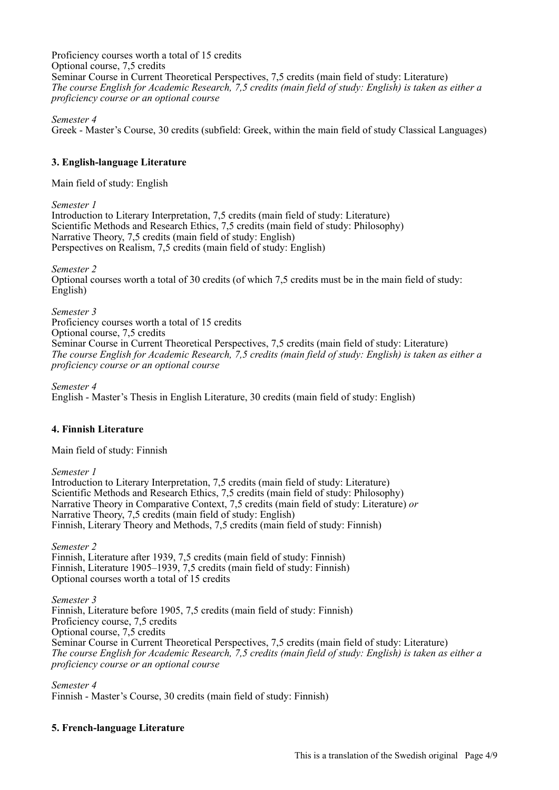Proficiency courses worth a total of 15 credits Optional course, 7,5 credits Seminar Course in Current Theoretical Perspectives, 7,5 credits (main field of study: Literature) *The course English for Academic Research, 7,5 credits (main field of study: English) is taken as either a proficiency course or an optional course*

*Semester 4*

Greek - Master's Course, 30 credits (subfield: Greek, within the main field of study Classical Languages)

# **3. English-language Literature**

Main field of study: English

*Semester 1*

Introduction to Literary Interpretation, 7,5 credits (main field of study: Literature) Scientific Methods and Research Ethics, 7,5 credits (main field of study: Philosophy) Narrative Theory, 7,5 credits (main field of study: English) Perspectives on Realism, 7,5 credits (main field of study: English)

*Semester 2*

Optional courses worth a total of 30 credits (of which 7,5 credits must be in the main field of study: English)

*Semester 3* Proficiency courses worth a total of 15 credits Optional course, 7,5 credits Seminar Course in Current Theoretical Perspectives, 7,5 credits (main field of study: Literature) *The course English for Academic Research, 7,5 credits (main field of study: English) is taken as either a proficiency course or an optional course*

*Semester 4* English - Master's Thesis in English Literature, 30 credits (main field of study: English)

# **4. Finnish Literature**

Main field of study: Finnish

*Semester 1*

Introduction to Literary Interpretation, 7,5 credits (main field of study: Literature) Scientific Methods and Research Ethics, 7,5 credits (main field of study: Philosophy) Narrative Theory in Comparative Context, 7,5 credits (main field of study: Literature) *or* Narrative Theory, 7,5 credits (main field of study: English) Finnish, Literary Theory and Methods, 7,5 credits (main field of study: Finnish)

*Semester 2* Finnish, Literature after 1939, 7,5 credits (main field of study: Finnish) Finnish, Literature 1905–1939, 7,5 credits (main field of study: Finnish) Optional courses worth a total of 15 credits

*Semester 3* Finnish, Literature before 1905, 7,5 credits (main field of study: Finnish) Proficiency course, 7,5 credits Optional course, 7,5 credits Seminar Course in Current Theoretical Perspectives, 7,5 credits (main field of study: Literature) *The course English for Academic Research, 7,5 credits (main field of study: English) is taken as either a proficiency course or an optional course*

*Semester 4* Finnish - Master's Course, 30 credits (main field of study: Finnish)

# **5. French-language Literature**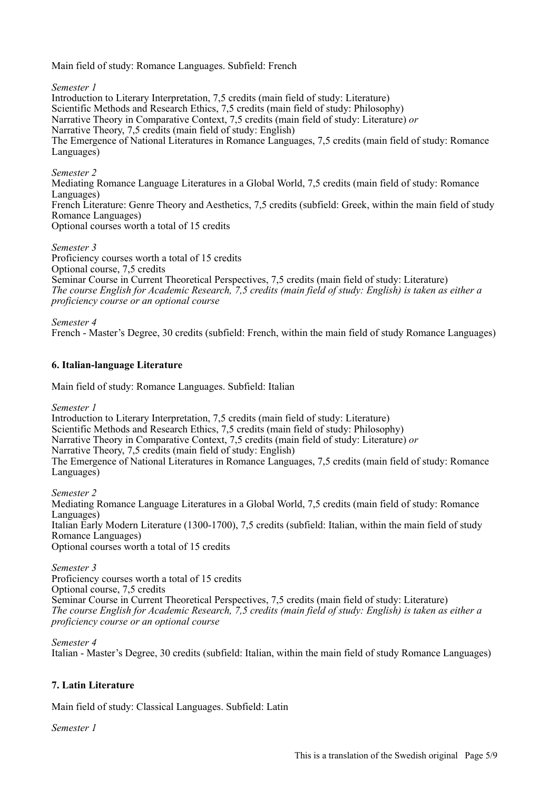Main field of study: Romance Languages. Subfield: French

*Semester 1*

Introduction to Literary Interpretation, 7,5 credits (main field of study: Literature) Scientific Methods and Research Ethics, 7,5 credits (main field of study: Philosophy) Narrative Theory in Comparative Context, 7,5 credits (main field of study: Literature) *or* Narrative Theory, 7,5 credits (main field of study: English) The Emergence of National Literatures in Romance Languages, 7,5 credits (main field of study: Romance Languages)

*Semester 2*

Mediating Romance Language Literatures in a Global World, 7,5 credits (main field of study: Romance Languages) French Literature: Genre Theory and Aesthetics, 7,5 credits (subfield: Greek, within the main field of study Romance Languages) Optional courses worth a total of 15 credits

*Semester 3*

Proficiency courses worth a total of 15 credits Optional course, 7,5 credits Seminar Course in Current Theoretical Perspectives, 7,5 credits (main field of study: Literature) *The course English for Academic Research, 7,5 credits (main field of study: English) is taken as either a proficiency course or an optional course*

*Semester 4*

French - Master's Degree, 30 credits (subfield: French, within the main field of study Romance Languages)

# **6. Italian-language Literature**

Main field of study: Romance Languages. Subfield: Italian

*Semester 1*

Introduction to Literary Interpretation, 7,5 credits (main field of study: Literature) Scientific Methods and Research Ethics, 7,5 credits (main field of study: Philosophy) Narrative Theory in Comparative Context, 7,5 credits (main field of study: Literature) *or* Narrative Theory, 7,5 credits (main field of study: English) The Emergence of National Literatures in Romance Languages, 7,5 credits (main field of study: Romance Languages)

*Semester 2* Mediating Romance Language Literatures in a Global World, 7,5 credits (main field of study: Romance Languages) Italian Early Modern Literature (1300-1700), 7,5 credits (subfield: Italian, within the main field of study Romance Languages) Optional courses worth a total of 15 credits

*Semester 3* Proficiency courses worth a total of 15 credits Optional course, 7,5 credits Seminar Course in Current Theoretical Perspectives, 7,5 credits (main field of study: Literature) *The course English for Academic Research, 7,5 credits (main field of study: English) is taken as either a proficiency course or an optional course*

*Semester 4*

Italian - Master's Degree, 30 credits (subfield: Italian, within the main field of study Romance Languages)

# **7. Latin Literature**

Main field of study: Classical Languages. Subfield: Latin

*Semester 1*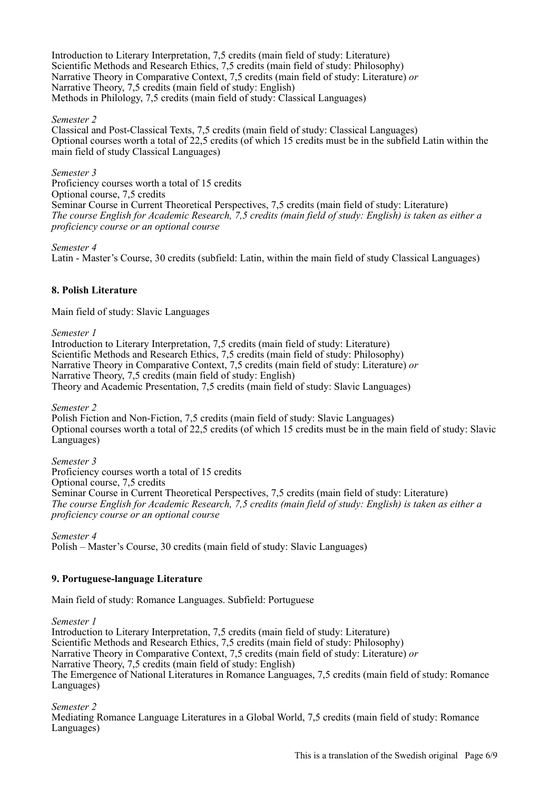Introduction to Literary Interpretation, 7,5 credits (main field of study: Literature) Scientific Methods and Research Ethics, 7,5 credits (main field of study: Philosophy) Narrative Theory in Comparative Context, 7,5 credits (main field of study: Literature) *or* Narrative Theory, 7,5 credits (main field of study: English) Methods in Philology, 7,5 credits (main field of study: Classical Languages)

#### *Semester 2*

Classical and Post-Classical Texts, 7,5 credits (main field of study: Classical Languages) Optional courses worth a total of 22,5 credits (of which 15 credits must be in the subfield Latin within the main field of study Classical Languages)

*Semester 3* Proficiency courses worth a total of 15 credits Optional course, 7,5 credits Seminar Course in Current Theoretical Perspectives, 7,5 credits (main field of study: Literature) *The course English for Academic Research, 7,5 credits (main field of study: English) is taken as either a proficiency course or an optional course*

*Semester 4*

Latin - Master's Course, 30 credits (subfield: Latin, within the main field of study Classical Languages)

# **8. Polish Literature**

Main field of study: Slavic Languages

*Semester 1*

Introduction to Literary Interpretation, 7,5 credits (main field of study: Literature) Scientific Methods and Research Ethics, 7,5 credits (main field of study: Philosophy) Narrative Theory in Comparative Context, 7,5 credits (main field of study: Literature) *or* Narrative Theory, 7,5 credits (main field of study: English) Theory and Academic Presentation, 7,5 credits (main field of study: Slavic Languages)

*Semester 2*

Polish Fiction and Non-Fiction, 7,5 credits (main field of study: Slavic Languages) Optional courses worth a total of 22,5 credits (of which 15 credits must be in the main field of study: Slavic Languages)

*Semester 3* Proficiency courses worth a total of 15 credits Optional course, 7,5 credits Seminar Course in Current Theoretical Perspectives, 7,5 credits (main field of study: Literature) *The course English for Academic Research, 7,5 credits (main field of study: English) is taken as either a proficiency course or an optional course*

*Semester 4* Polish – Master's Course, 30 credits (main field of study: Slavic Languages)

# **9. Portuguese-language Literature**

Main field of study: Romance Languages. Subfield: Portuguese

*Semester 1*

Introduction to Literary Interpretation, 7,5 credits (main field of study: Literature) Scientific Methods and Research Ethics, 7,5 credits (main field of study: Philosophy) Narrative Theory in Comparative Context, 7,5 credits (main field of study: Literature) *or* Narrative Theory, 7,5 credits (main field of study: English) The Emergence of National Literatures in Romance Languages, 7,5 credits (main field of study: Romance Languages)

*Semester 2*

Mediating Romance Language Literatures in a Global World, 7,5 credits (main field of study: Romance Languages)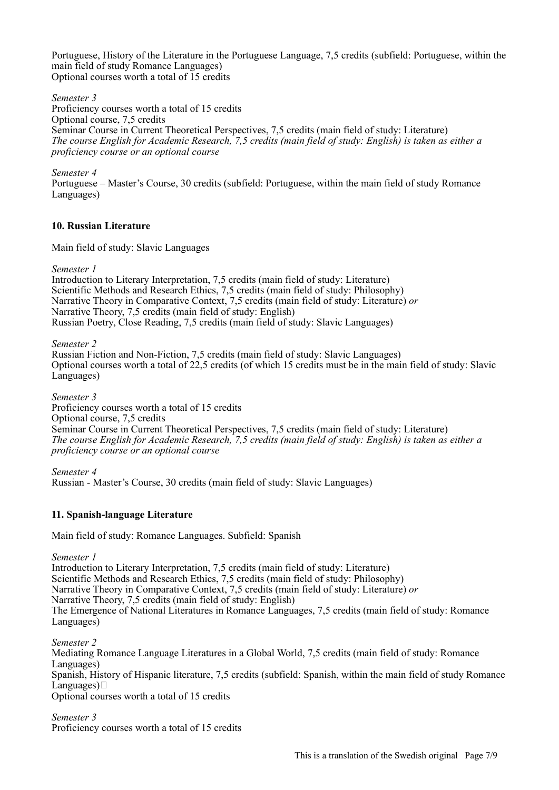Portuguese, History of the Literature in the Portuguese Language, 7,5 credits (subfield: Portuguese, within the main field of study Romance Languages) Optional courses worth a total of 15 credits

*Semester 3*

Proficiency courses worth a total of 15 credits Optional course, 7,5 credits Seminar Course in Current Theoretical Perspectives, 7,5 credits (main field of study: Literature) *The course English for Academic Research, 7,5 credits (main field of study: English) is taken as either a proficiency course or an optional course*

*Semester 4*

Portuguese – Master's Course, 30 credits (subfield: Portuguese, within the main field of study Romance Languages)

# **10. Russian Literature**

Main field of study: Slavic Languages

*Semester 1*

Introduction to Literary Interpretation, 7,5 credits (main field of study: Literature) Scientific Methods and Research Ethics, 7,5 credits (main field of study: Philosophy) Narrative Theory in Comparative Context, 7,5 credits (main field of study: Literature) *or* Narrative Theory, 7,5 credits (main field of study: English) Russian Poetry, Close Reading, 7,5 credits (main field of study: Slavic Languages)

*Semester 2*

Russian Fiction and Non-Fiction, 7,5 credits (main field of study: Slavic Languages) Optional courses worth a total of 22,5 credits (of which 15 credits must be in the main field of study: Slavic Languages)

*Semester 3* Proficiency courses worth a total of 15 credits Optional course, 7,5 credits Seminar Course in Current Theoretical Perspectives, 7,5 credits (main field of study: Literature) *The course English for Academic Research, 7,5 credits (main field of study: English) is taken as either a proficiency course or an optional course*

*Semester 4* Russian - Master's Course, 30 credits (main field of study: Slavic Languages)

# **11. Spanish-language Literature**

Main field of study: Romance Languages. Subfield: Spanish

*Semester 1*

Introduction to Literary Interpretation, 7,5 credits (main field of study: Literature) Scientific Methods and Research Ethics, 7,5 credits (main field of study: Philosophy) Narrative Theory in Comparative Context, 7,5 credits (main field of study: Literature) *or* Narrative Theory, 7,5 credits (main field of study: English) The Emergence of National Literatures in Romance Languages, 7,5 credits (main field of study: Romance Languages)

*Semester 2*

Mediating Romance Language Literatures in a Global World, 7,5 credits (main field of study: Romance Languages) Spanish, History of Hispanic literature, 7,5 credits (subfield: Spanish, within the main field of study Romance Languages) $\Box$ Optional courses worth a total of 15 credits

*Semester 3* Proficiency courses worth a total of 15 credits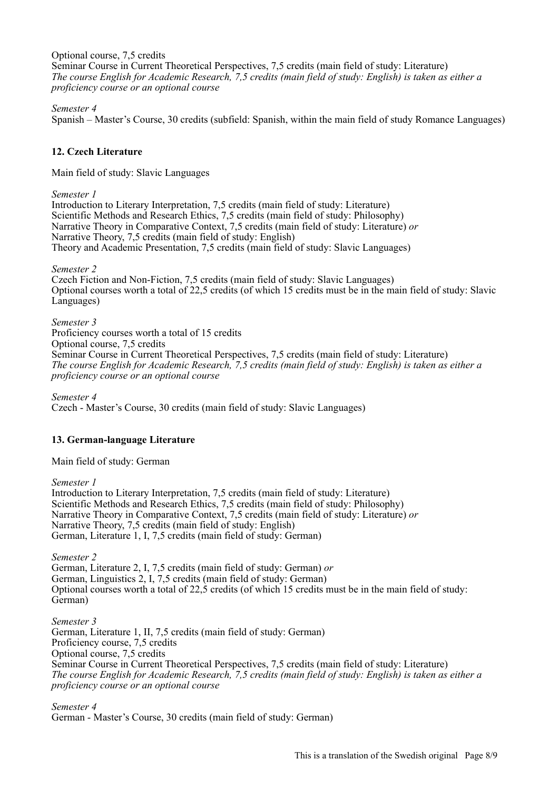Optional course, 7,5 credits Seminar Course in Current Theoretical Perspectives, 7,5 credits (main field of study: Literature) *The course English for Academic Research, 7,5 credits (main field of study: English) is taken as either a proficiency course or an optional course*

#### *Semester 4*

Spanish – Master's Course, 30 credits (subfield: Spanish, within the main field of study Romance Languages)

# **12. Czech Literature**

Main field of study: Slavic Languages

#### *Semester 1*

Introduction to Literary Interpretation, 7,5 credits (main field of study: Literature) Scientific Methods and Research Ethics, 7,5 credits (main field of study: Philosophy) Narrative Theory in Comparative Context, 7,5 credits (main field of study: Literature) *or* Narrative Theory, 7,5 credits (main field of study: English) Theory and Academic Presentation, 7,5 credits (main field of study: Slavic Languages)

#### *Semester 2*

Czech Fiction and Non-Fiction, 7,5 credits (main field of study: Slavic Languages) Optional courses worth a total of 22,5 credits (of which 15 credits must be in the main field of study: Slavic Languages)

#### *Semester 3*

Proficiency courses worth a total of 15 credits Optional course, 7,5 credits Seminar Course in Current Theoretical Perspectives, 7,5 credits (main field of study: Literature) *The course English for Academic Research, 7,5 credits (main field of study: English) is taken as either a proficiency course or an optional course*

*Semester 4* Czech - Master's Course, 30 credits (main field of study: Slavic Languages)

# **13. German-language Literature**

Main field of study: German

#### *Semester 1*

Introduction to Literary Interpretation, 7,5 credits (main field of study: Literature) Scientific Methods and Research Ethics, 7,5 credits (main field of study: Philosophy) Narrative Theory in Comparative Context, 7,5 credits (main field of study: Literature) *or* Narrative Theory, 7,5 credits (main field of study: English) German, Literature 1, I, 7,5 credits (main field of study: German)

*Semester 2*

German, Literature 2, I, 7,5 credits (main field of study: German) *or* German, Linguistics 2, I, 7,5 credits (main field of study: German) Optional courses worth a total of 22,5 credits (of which 15 credits must be in the main field of study: German)

*Semester 3* German, Literature 1, II, 7,5 credits (main field of study: German) Proficiency course, 7,5 credits Optional course, 7,5 credits Seminar Course in Current Theoretical Perspectives, 7,5 credits (main field of study: Literature) *The course English for Academic Research, 7,5 credits (main field of study: English) is taken as either a proficiency course or an optional course*

*Semester 4* German - Master's Course, 30 credits (main field of study: German)